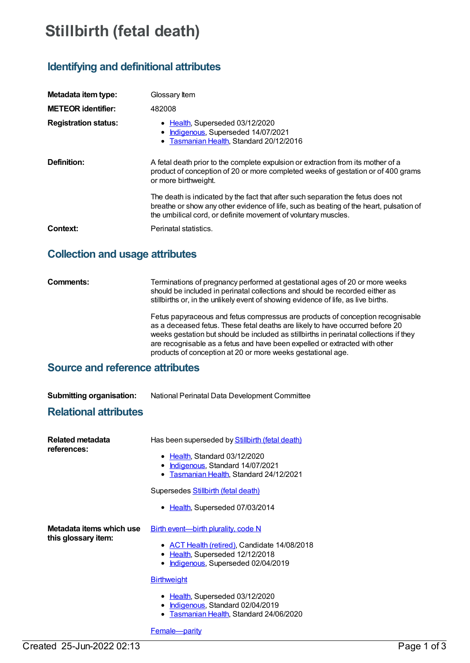# **Stillbirth (fetal death)**

# **Identifying and definitional attributes**

| Metadata item type:         | Glossary Item                                                                                                                                                                                                                                |  |
|-----------------------------|----------------------------------------------------------------------------------------------------------------------------------------------------------------------------------------------------------------------------------------------|--|
| <b>METEOR identifier:</b>   | 482008                                                                                                                                                                                                                                       |  |
| <b>Registration status:</b> | • Health, Superseded 03/12/2020<br>• Indigenous, Superseded 14/07/2021<br>• Tasmanian Health, Standard 20/12/2016                                                                                                                            |  |
| Definition:                 | A fetal death prior to the complete expulsion or extraction from its mother of a<br>product of conception of 20 or more completed weeks of gestation or of 400 grams<br>or more birthweight.                                                 |  |
|                             | The death is indicated by the fact that after such separation the fetus does not<br>breathe or show any other evidence of life, such as beating of the heart, pulsation of<br>the umbilical cord, or definite movement of voluntary muscles. |  |
| Context:                    | Perinatal statistics.                                                                                                                                                                                                                        |  |

# **Collection and usage attributes**

**Comments:** Terminations of pregnancy performed at gestational ages of 20 or more weeks should be included in perinatal collections and should be recorded either as stillbirths or, in the unlikely event of showing evidence of life, as live births.

> Fetus papyraceous and fetus compressus are products of conception recognisable as a deceased fetus. These fetal deaths are likely to have occurred before 20 weeks gestation but should be included as stillbirths in perinatal collections if they are recognisable as a fetus and have been expelled or extracted with other products of conception at 20 or more weeks gestational age.

# **Source and reference attributes**

**Submitting organisation:** National Perinatal Data Development Committee

## **Relational attributes**

| Related metadata<br>references:                 | Has been superseded by Stillbirth (fetal death)<br>• Health, Standard 03/12/2020<br>Indigenous, Standard 14/07/2021<br>Tasmanian Health, Standard 24/12/2021                                                                                                                                                         |
|-------------------------------------------------|----------------------------------------------------------------------------------------------------------------------------------------------------------------------------------------------------------------------------------------------------------------------------------------------------------------------|
|                                                 | Supersedes <b>Stillbirth (fetal death)</b><br>Health, Superseded 07/03/2014                                                                                                                                                                                                                                          |
| Metadata items which use<br>this glossary item: | <b>Birth event—birth plurality, code N</b><br>• ACT Health (retired), Candidate 14/08/2018<br>• Health, Superseded 12/12/2018<br>Indigenous, Superseded 02/04/2019<br><b>Birthweight</b><br>• Health, Superseded 03/12/2020<br>Indigenous, Standard 02/04/2019<br>$\bullet$<br>Tasmanian Health, Standard 24/06/2020 |
|                                                 | Female-parity                                                                                                                                                                                                                                                                                                        |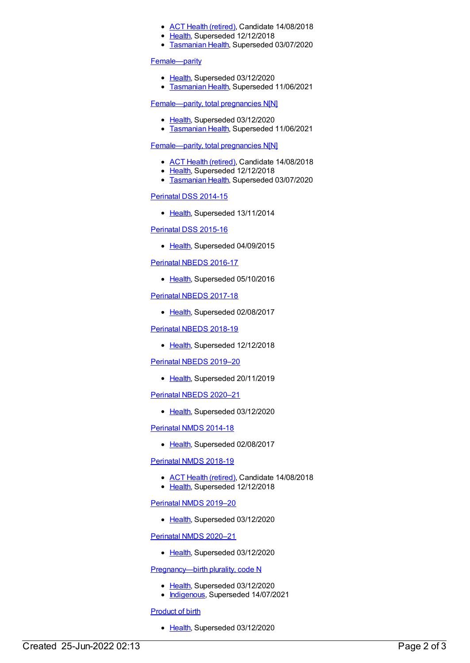- ACT Health [\(retired\)](https://meteor.aihw.gov.au/RegistrationAuthority/9), Candidate 14/08/2018
- [Health](https://meteor.aihw.gov.au/RegistrationAuthority/12), Superseded 12/12/2018
- **[Tasmanian](https://meteor.aihw.gov.au/RegistrationAuthority/15) Health, Superseded 03/07/2020**

#### [Female—parity](https://meteor.aihw.gov.au/content/696258)

- [Health](https://meteor.aihw.gov.au/RegistrationAuthority/12), Superseded 03/12/2020
- **[Tasmanian](https://meteor.aihw.gov.au/RegistrationAuthority/15) Health, Superseded 11/06/2021**

#### [Female—parity,](https://meteor.aihw.gov.au/content/696262) total pregnancies N[N]

- [Health](https://meteor.aihw.gov.au/RegistrationAuthority/12), Superseded 03/12/2020
- [Tasmanian](https://meteor.aihw.gov.au/RegistrationAuthority/15) Health, Superseded 11/06/2021

#### [Female—parity,](https://meteor.aihw.gov.au/content/501710) total pregnancies N[N]

- ACT Health [\(retired\)](https://meteor.aihw.gov.au/RegistrationAuthority/9), Candidate 14/08/2018
- [Health](https://meteor.aihw.gov.au/RegistrationAuthority/12), Superseded 12/12/2018
- **[Tasmanian](https://meteor.aihw.gov.au/RegistrationAuthority/15) Health, Superseded 03/07/2020**

#### [Perinatal](https://meteor.aihw.gov.au/content/510127) DSS 2014-15

• [Health](https://meteor.aihw.gov.au/RegistrationAuthority/12), Superseded 13/11/2014

### [Perinatal](https://meteor.aihw.gov.au/content/581388) DSS 2015-16

• [Health](https://meteor.aihw.gov.au/RegistrationAuthority/12), Superseded 04/09/2015

#### [Perinatal](https://meteor.aihw.gov.au/content/605250) NBEDS 2016-17

• [Health](https://meteor.aihw.gov.au/RegistrationAuthority/12), Superseded 05/10/2016

#### [Perinatal](https://meteor.aihw.gov.au/content/654975) NBEDS 2017-18

• [Health](https://meteor.aihw.gov.au/RegistrationAuthority/12), Superseded 02/08/2017

#### [Perinatal](https://meteor.aihw.gov.au/content/668809) NBEDS 2018-19

• [Health](https://meteor.aihw.gov.au/RegistrationAuthority/12), Superseded 12/12/2018

### [Perinatal](https://meteor.aihw.gov.au/content/694991) NBEDS 2019–20

• [Health](https://meteor.aihw.gov.au/RegistrationAuthority/12), Superseded 20/11/2019

### [Perinatal](https://meteor.aihw.gov.au/content/716067) NBEDS 2020–21

• [Health](https://meteor.aihw.gov.au/RegistrationAuthority/12), Superseded 03/12/2020

### [Perinatal](https://meteor.aihw.gov.au/content/517456) NMDS 2014-18

• [Health](https://meteor.aihw.gov.au/RegistrationAuthority/12), Superseded 02/08/2017

### [Perinatal](https://meteor.aihw.gov.au/content/668811) NMDS 2018-19

- ACT Health [\(retired\)](https://meteor.aihw.gov.au/RegistrationAuthority/9), Candidate 14/08/2018
- [Health](https://meteor.aihw.gov.au/RegistrationAuthority/12), Superseded 12/12/2018

### [Perinatal](https://meteor.aihw.gov.au/content/694988) NMDS 2019–20

• [Health](https://meteor.aihw.gov.au/RegistrationAuthority/12), Superseded 03/12/2020

### [Perinatal](https://meteor.aihw.gov.au/content/716081) NMDS 2020–21

• [Health](https://meteor.aihw.gov.au/RegistrationAuthority/12), Superseded 03/12/2020

### Pregnancy--- birth plurality, code N

- [Health](https://meteor.aihw.gov.au/RegistrationAuthority/12), Superseded 03/12/2020
- [Indigenous](https://meteor.aihw.gov.au/RegistrationAuthority/6), Superseded 14/07/2021

### [Product](https://meteor.aihw.gov.au/content/684793) of birth

• [Health](https://meteor.aihw.gov.au/RegistrationAuthority/12), Superseded 03/12/2020